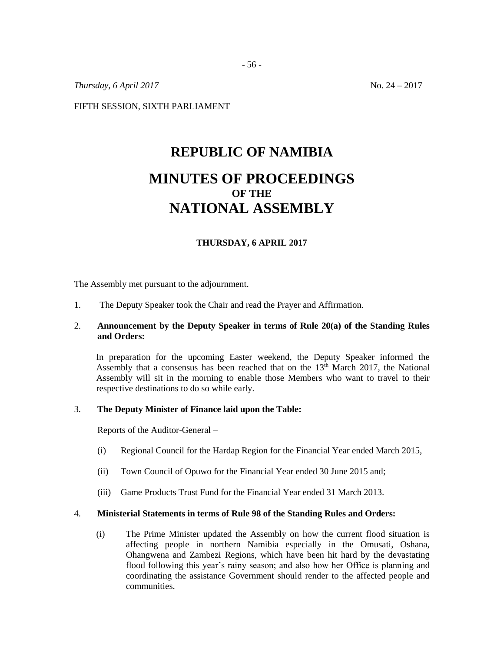*Thursday, 6 April 2017* No. 24 – 2017

FIFTH SESSION, SIXTH PARLIAMENT

# **REPUBLIC OF NAMIBIA MINUTES OF PROCEEDINGS OF THE NATIONAL ASSEMBLY**

## **THURSDAY, 6 APRIL 2017**

The Assembly met pursuant to the adjournment.

1. The Deputy Speaker took the Chair and read the Prayer and Affirmation.

## 2. **Announcement by the Deputy Speaker in terms of Rule 20(a) of the Standing Rules and Orders:**

In preparation for the upcoming Easter weekend, the Deputy Speaker informed the Assembly that a consensus has been reached that on the  $13<sup>th</sup>$  March 2017, the National Assembly will sit in the morning to enable those Members who want to travel to their respective destinations to do so while early.

### 3. **The Deputy Minister of Finance laid upon the Table:**

Reports of the Auditor-General –

- (i) Regional Council for the Hardap Region for the Financial Year ended March 2015,
- (ii) Town Council of Opuwo for the Financial Year ended 30 June 2015 and;
- (iii) Game Products Trust Fund for the Financial Year ended 31 March 2013.

#### 4. **Ministerial Statements in terms of Rule 98 of the Standing Rules and Orders:**

(i) The Prime Minister updated the Assembly on how the current flood situation is affecting people in northern Namibia especially in the Omusati, Oshana, Ohangwena and Zambezi Regions, which have been hit hard by the devastating flood following this year's rainy season; and also how her Office is planning and coordinating the assistance Government should render to the affected people and communities.